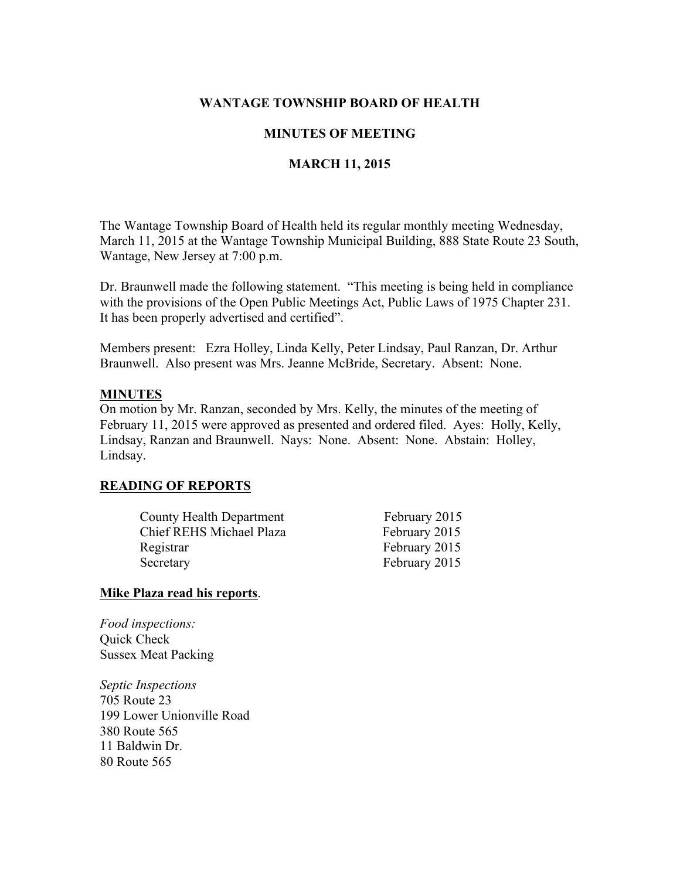# WANTAGE TOWNSHIP BOARD OF HEALTH

# MINUTES OF MEETING

# MARCH 11, 2015

The Wantage Township Board of Health held its regular monthly meeting Wednesday, March 11, 2015 at the Wantage Township Municipal Building, 888 State Route 23 South, Wantage, New Jersey at 7:00 p.m.

Dr. Braunwell made the following statement. "This meeting is being held in compliance with the provisions of the Open Public Meetings Act, Public Laws of 1975 Chapter 231. It has been properly advertised and certified".

Members present: Ezra Holley, Linda Kelly, Peter Lindsay, Paul Ranzan, Dr. Arthur Braunwell. Also present was Mrs. Jeanne McBride, Secretary. Absent: None.

#### MINUTES

On motion by Mr. Ranzan, seconded by Mrs. Kelly, the minutes of the meeting of February 11, 2015 were approved as presented and ordered filed. Ayes: Holly, Kelly, Lindsay, Ranzan and Braunwell. Nays: None. Absent: None. Abstain: Holley, Lindsay.

### READING OF REPORTS

| <b>County Health Department</b> | February 2015 |
|---------------------------------|---------------|
| Chief REHS Michael Plaza        | February 2015 |
| Registrar                       | February 2015 |
| Secretary                       | February 2015 |

#### Mike Plaza read his reports.

*Food inspections:* Quick Check Sussex Meat Packing

*Septic Inspections* 705 Route 23 199 Lower Unionville Road 380 Route 565 11 Baldwin Dr. 80 Route 565